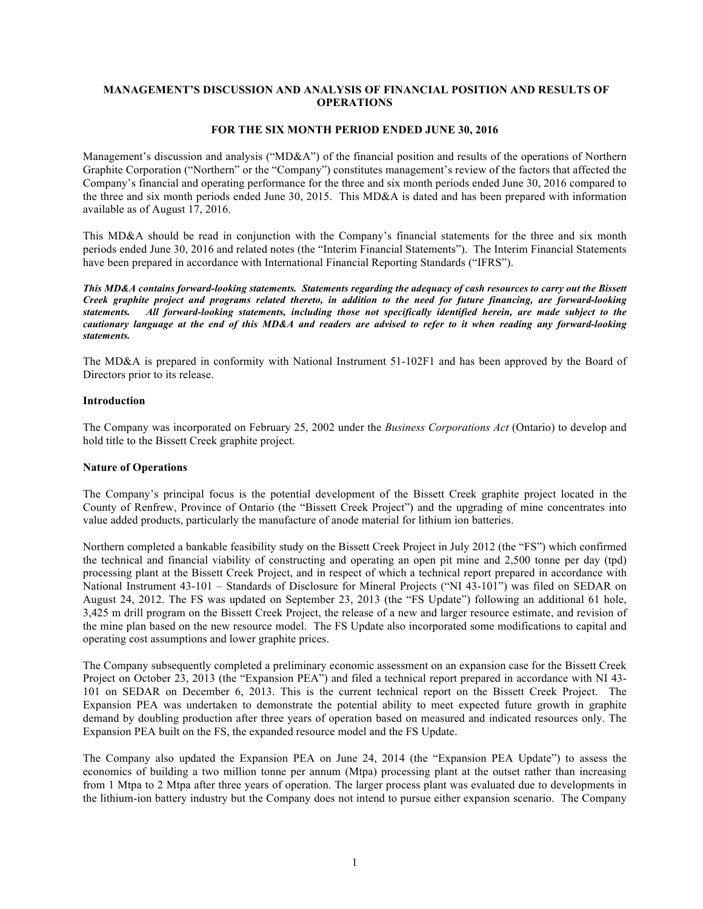## **MANAGEMENT'S DISCUSSION AND ANALYSIS OF FINANCIAL POSITION AND RESULTS OF OPERATIONS**

### **FOR THE SIX MONTH PERIOD ENDED JUNE 30, 2016**

Management's discussion and analysis ("MD&A") of the financial position and results of the operations of Northern Graphite Corporation ("Northern" or the "Company") constitutes management's review of the factors that affected the Company's financial and operating performance for the three and six month periods ended June 30, 2016 compared to the three and six month periods ended June 30, 2015. This MD&A is dated and has been prepared with information available as of August 17, 2016.

This MD&A should be read in conjunction with the Company's financial statements for the three and six month periods ended June 30, 2016 and related notes (the "Interim Financial Statements"). The Interim Financial Statements have been prepared in accordance with International Financial Reporting Standards ("IFRS").

*This MD&A contains forward-looking statements. Statements regarding the adequacy of cash resources to carry out the Bissett Creek graphite project and programs related thereto, in addition to the need for future financing, are forward-looking statements. All forward-looking statements, including those not specifically identified herein, are made subject to the cautionary language at the end of this MD&A and readers are advised to refer to it when reading any forward-looking statements.*

The MD&A is prepared in conformity with National Instrument 51-102F1 and has been approved by the Board of Directors prior to its release.

### **Introduction**

The Company was incorporated on February 25, 2002 under the *Business Corporations Act* (Ontario) to develop and hold title to the Bissett Creek graphite project.

### **Nature of Operations**

The Company's principal focus is the potential development of the Bissett Creek graphite project located in the County of Renfrew, Province of Ontario (the "Bissett Creek Project") and the upgrading of mine concentrates into value added products, particularly the manufacture of anode material for lithium ion batteries.

Northern completed a bankable feasibility study on the Bissett Creek Project in July 2012 (the "FS") which confirmed the technical and financial viability of constructing and operating an open pit mine and 2,500 tonne per day (tpd) processing plant at the Bissett Creek Project, and in respect of which a technical report prepared in accordance with National Instrument 43-101 – Standards of Disclosure for Mineral Projects ("NI 43-101") was filed on SEDAR on August 24, 2012. The FS was updated on September 23, 2013 (the "FS Update") following an additional 61 hole, 3,425 m drill program on the Bissett Creek Project, the release of a new and larger resource estimate, and revision of the mine plan based on the new resource model. The FS Update also incorporated some modifications to capital and operating cost assumptions and lower graphite prices.

The Company subsequently completed a preliminary economic assessment on an expansion case for the Bissett Creek Project on October 23, 2013 (the "Expansion PEA") and filed a technical report prepared in accordance with NI 43- 101 on SEDAR on December 6, 2013. This is the current technical report on the Bissett Creek Project. The Expansion PEA was undertaken to demonstrate the potential ability to meet expected future growth in graphite demand by doubling production after three years of operation based on measured and indicated resources only. The Expansion PEA built on the FS, the expanded resource model and the FS Update.

The Company also updated the Expansion PEA on June 24, 2014 (the "Expansion PEA Update") to assess the economics of building a two million tonne per annum (Mtpa) processing plant at the outset rather than increasing from 1 Mtpa to 2 Mtpa after three years of operation. The larger process plant was evaluated due to developments in the lithium-ion battery industry but the Company does not intend to pursue either expansion scenario. The Company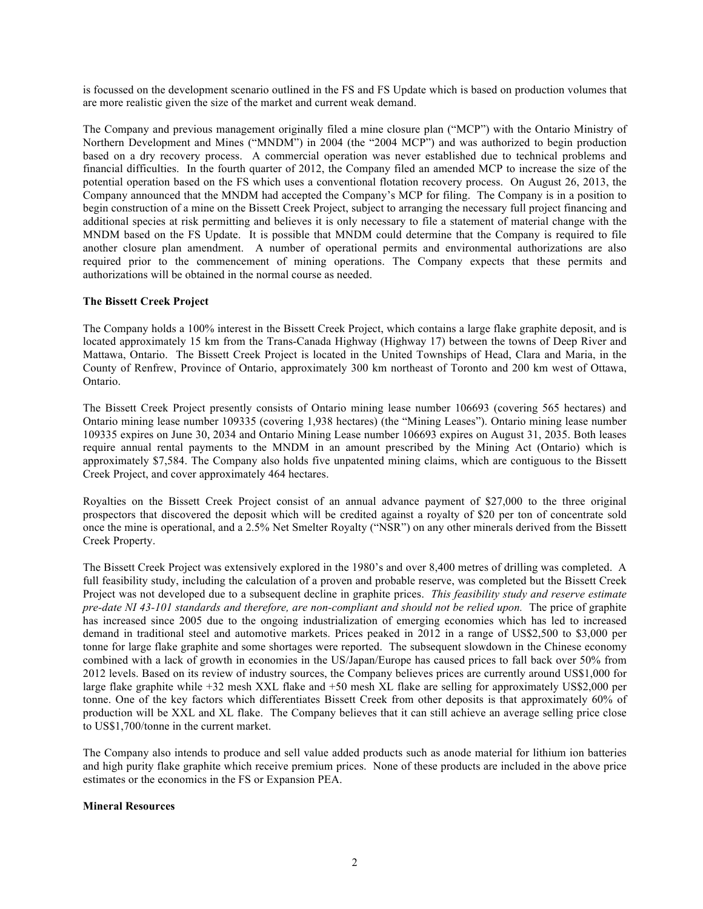is focussed on the development scenario outlined in the FS and FS Update which is based on production volumes that are more realistic given the size of the market and current weak demand.

The Company and previous management originally filed a mine closure plan ("MCP") with the Ontario Ministry of Northern Development and Mines ("MNDM") in 2004 (the "2004 MCP") and was authorized to begin production based on a dry recovery process. A commercial operation was never established due to technical problems and financial difficulties. In the fourth quarter of 2012, the Company filed an amended MCP to increase the size of the potential operation based on the FS which uses a conventional flotation recovery process. On August 26, 2013, the Company announced that the MNDM had accepted the Company's MCP for filing. The Company is in a position to begin construction of a mine on the Bissett Creek Project, subject to arranging the necessary full project financing and additional species at risk permitting and believes it is only necessary to file a statement of material change with the MNDM based on the FS Update. It is possible that MNDM could determine that the Company is required to file another closure plan amendment. A number of operational permits and environmental authorizations are also required prior to the commencement of mining operations. The Company expects that these permits and authorizations will be obtained in the normal course as needed.

### **The Bissett Creek Project**

The Company holds a 100% interest in the Bissett Creek Project, which contains a large flake graphite deposit, and is located approximately 15 km from the Trans-Canada Highway (Highway 17) between the towns of Deep River and Mattawa, Ontario. The Bissett Creek Project is located in the United Townships of Head, Clara and Maria, in the County of Renfrew, Province of Ontario, approximately 300 km northeast of Toronto and 200 km west of Ottawa, Ontario.

The Bissett Creek Project presently consists of Ontario mining lease number 106693 (covering 565 hectares) and Ontario mining lease number 109335 (covering 1,938 hectares) (the "Mining Leases"). Ontario mining lease number 109335 expires on June 30, 2034 and Ontario Mining Lease number 106693 expires on August 31, 2035. Both leases require annual rental payments to the MNDM in an amount prescribed by the Mining Act (Ontario) which is approximately \$7,584. The Company also holds five unpatented mining claims, which are contiguous to the Bissett Creek Project, and cover approximately 464 hectares.

Royalties on the Bissett Creek Project consist of an annual advance payment of \$27,000 to the three original prospectors that discovered the deposit which will be credited against a royalty of \$20 per ton of concentrate sold once the mine is operational, and a 2.5% Net Smelter Royalty ("NSR") on any other minerals derived from the Bissett Creek Property.

The Bissett Creek Project was extensively explored in the 1980's and over 8,400 metres of drilling was completed. A full feasibility study, including the calculation of a proven and probable reserve, was completed but the Bissett Creek Project was not developed due to a subsequent decline in graphite prices. *This feasibility study and reserve estimate pre-date NI 43-101 standards and therefore, are non-compliant and should not be relied upon.* The price of graphite has increased since 2005 due to the ongoing industrialization of emerging economies which has led to increased demand in traditional steel and automotive markets. Prices peaked in 2012 in a range of US\$2,500 to \$3,000 per tonne for large flake graphite and some shortages were reported. The subsequent slowdown in the Chinese economy combined with a lack of growth in economies in the US/Japan/Europe has caused prices to fall back over 50% from 2012 levels. Based on its review of industry sources, the Company believes prices are currently around US\$1,000 for large flake graphite while +32 mesh XXL flake and +50 mesh XL flake are selling for approximately US\$2,000 per tonne. One of the key factors which differentiates Bissett Creek from other deposits is that approximately 60% of production will be XXL and XL flake. The Company believes that it can still achieve an average selling price close to US\$1,700/tonne in the current market.

The Company also intends to produce and sell value added products such as anode material for lithium ion batteries and high purity flake graphite which receive premium prices. None of these products are included in the above price estimates or the economics in the FS or Expansion PEA.

#### **Mineral Resources**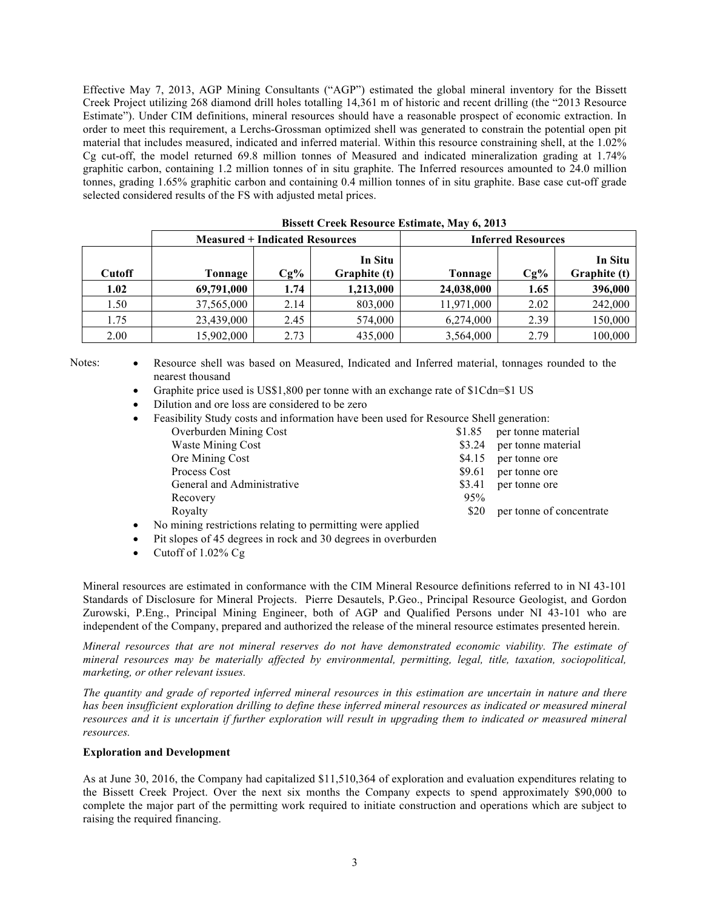Effective May 7, 2013, AGP Mining Consultants ("AGP") estimated the global mineral inventory for the Bissett Creek Project utilizing 268 diamond drill holes totalling 14,361 m of historic and recent drilling (the "2013 Resource Estimate"). Under CIM definitions, mineral resources should have a reasonable prospect of economic extraction. In order to meet this requirement, a Lerchs-Grossman optimized shell was generated to constrain the potential open pit material that includes measured, indicated and inferred material. Within this resource constraining shell, at the 1.02% Cg cut-off, the model returned 69.8 million tonnes of Measured and indicated mineralization grading at 1.74% graphitic carbon, containing 1.2 million tonnes of in situ graphite. The Inferred resources amounted to 24.0 million tonnes, grading 1.65% graphitic carbon and containing 0.4 million tonnes of in situ graphite. Base case cut-off grade selected considered results of the FS with adjusted metal prices.

|               | <b>DISSUE CLUB INSOULUE ESTIMATE, FIAT 0, 2010</b> |        |                         |            |                           |                                |  |
|---------------|----------------------------------------------------|--------|-------------------------|------------|---------------------------|--------------------------------|--|
|               | <b>Measured + Indicated Resources</b>              |        |                         |            | <b>Inferred Resources</b> |                                |  |
| <b>Cutoff</b> | Tonnage                                            | $Cg\%$ | In Situ<br>Graphite (t) | Tonnage    | $Cg\%$                    | <b>In Situ</b><br>Graphite (t) |  |
| 1.02          | 69,791,000                                         | 1.74   | 1,213,000               | 24,038,000 | 1.65                      | 396,000                        |  |
| 1.50          | 37,565,000                                         | 2.14   | 803,000                 | 11,971,000 | 2.02                      | 242,000                        |  |
| 1.75          | 23,439,000                                         | 2.45   | 574,000                 | 6,274,000  | 2.39                      | 150,000                        |  |
| 2.00          | 15,902,000                                         | 2.73   | 435,000                 | 3,564,000  | 2.79                      | 100,000                        |  |

**Bissett Creek Resource Estimate, May 6, 2013**

Notes: • Resource shell was based on Measured, Indicated and Inferred material, tonnages rounded to the nearest thousand

Graphite price used is US\$1,800 per tonne with an exchange rate of \$1Cdn=\$1 US

• Dilution and ore loss are considered to be zero

• Feasibility Study costs and information have been used for Resource Shell generation:

| Overburden Mining Cost                                                 | \$1.85 | per tonne material       |
|------------------------------------------------------------------------|--------|--------------------------|
| <b>Waste Mining Cost</b>                                               | \$3.24 | per tonne material       |
| Ore Mining Cost                                                        | \$4.15 | per tonne ore            |
| Process Cost                                                           | \$9.61 | per tonne ore            |
| General and Administrative                                             | \$3.41 | per tonne ore            |
| Recovery                                                               | 95%    |                          |
| Royalty                                                                | \$20   | per tonne of concentrate |
| Is an in in a maghaird an am Iadin a da namar idir a corana ann 11 a d |        |                          |

• No mining restrictions relating to permitting were applied

- Pit slopes of 45 degrees in rock and 30 degrees in overburden
- Cutoff of 1.02% Cg

Mineral resources are estimated in conformance with the CIM Mineral Resource definitions referred to in NI 43-101 Standards of Disclosure for Mineral Projects. Pierre Desautels, P.Geo., Principal Resource Geologist, and Gordon Zurowski, P.Eng., Principal Mining Engineer, both of AGP and Qualified Persons under NI 43-101 who are independent of the Company, prepared and authorized the release of the mineral resource estimates presented herein.

*Mineral resources that are not mineral reserves do not have demonstrated economic viability. The estimate of mineral resources may be materially affected by environmental, permitting, legal, title, taxation, sociopolitical, marketing, or other relevant issues.*

*The quantity and grade of reported inferred mineral resources in this estimation are uncertain in nature and there has been insufficient exploration drilling to define these inferred mineral resources as indicated or measured mineral resources and it is uncertain if further exploration will result in upgrading them to indicated or measured mineral resources.*

### **Exploration and Development**

As at June 30, 2016, the Company had capitalized \$11,510,364 of exploration and evaluation expenditures relating to the Bissett Creek Project. Over the next six months the Company expects to spend approximately \$90,000 to complete the major part of the permitting work required to initiate construction and operations which are subject to raising the required financing.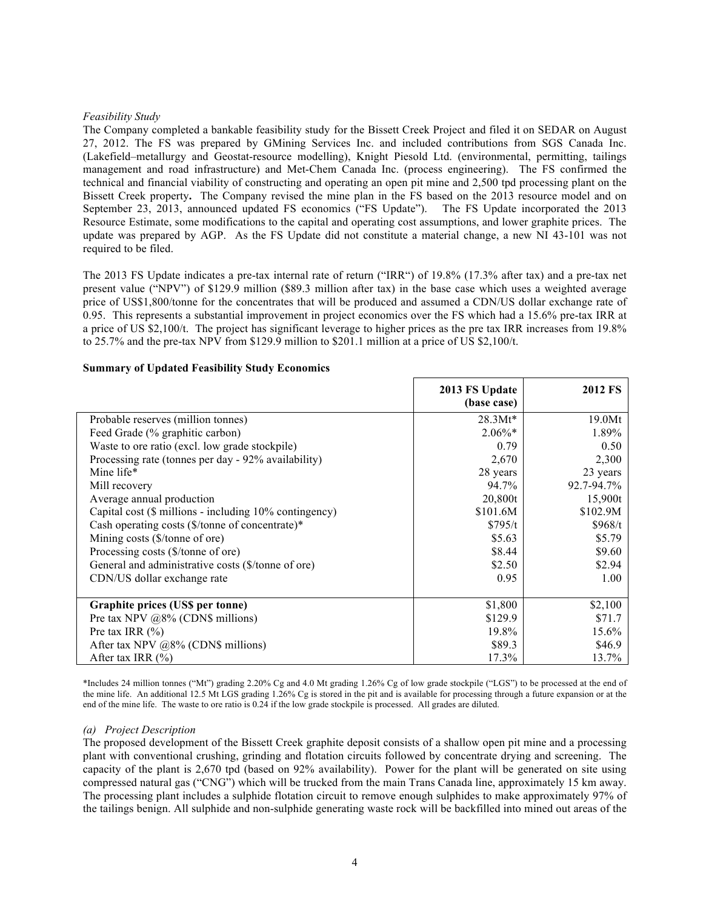## *Feasibility Study*

The Company completed a bankable feasibility study for the Bissett Creek Project and filed it on SEDAR on August 27, 2012. The FS was prepared by GMining Services Inc. and included contributions from SGS Canada Inc. (Lakefield–metallurgy and Geostat-resource modelling), Knight Piesold Ltd. (environmental, permitting, tailings management and road infrastructure) and Met-Chem Canada Inc. (process engineering). The FS confirmed the technical and financial viability of constructing and operating an open pit mine and 2,500 tpd processing plant on the Bissett Creek property**.** The Company revised the mine plan in the FS based on the 2013 resource model and on September 23, 2013, announced updated FS economics ("FS Update"). The FS Update incorporated the 2013 Resource Estimate, some modifications to the capital and operating cost assumptions, and lower graphite prices. The update was prepared by AGP. As the FS Update did not constitute a material change, a new NI 43-101 was not required to be filed.

The 2013 FS Update indicates a pre-tax internal rate of return ("IRR") of 19.8% (17.3% after tax) and a pre-tax net present value ("NPV") of \$129.9 million (\$89.3 million after tax) in the base case which uses a weighted average price of US\$1,800/tonne for the concentrates that will be produced and assumed a CDN/US dollar exchange rate of 0.95. This represents a substantial improvement in project economics over the FS which had a 15.6% pre-tax IRR at a price of US \$2,100/t. The project has significant leverage to higher prices as the pre tax IRR increases from 19.8% to 25.7% and the pre-tax NPV from \$129.9 million to \$201.1 million at a price of US \$2,100/t.

|                                                             | 2013 FS Update<br>(base case) | <b>2012 FS</b> |
|-------------------------------------------------------------|-------------------------------|----------------|
| Probable reserves (million tonnes)                          | $28.3Mt*$                     | 19.0Mt         |
| Feed Grade (% graphitic carbon)                             | $2.06\%*$                     | 1.89%          |
| Waste to ore ratio (excl. low grade stockpile)              | 0.79                          | 0.50           |
| Processing rate (tonnes per day - 92% availability)         | 2,670                         | 2,300          |
| Mine life*                                                  | 28 years                      | 23 years       |
| Mill recovery                                               | 94.7%                         | 92.7-94.7%     |
| Average annual production                                   | 20,800t                       | 15,900t        |
| Capital cost (\$ millions - including 10% contingency)      | \$101.6M                      | \$102.9M       |
| Cash operating costs $(\frac{1}{2})$ tonne of concentrate)* | \$795/t                       | \$968/t        |
| Mining costs (\$/tonne of ore)                              | \$5.63                        | \$5.79         |
| Processing costs (\$/tonne of ore)                          | \$8.44                        | \$9.60         |
| General and administrative costs (\$/tonne of ore)          | \$2.50                        | \$2.94         |
| CDN/US dollar exchange rate                                 | 0.95                          | 1.00           |
| Graphite prices (US\$ per tonne)                            | \$1,800                       | \$2,100        |
| Pre tax NPV $@8\%$ (CDN\$ millions)                         | \$129.9                       | \$71.7         |
| Pre tax IRR $(\% )$                                         | 19.8%                         | 15.6%          |
| After tax NPV $@8\%$ (CDN\$ millions)                       | \$89.3                        | \$46.9         |
| After tax IRR $(\% )$                                       | 17.3%                         | 13.7%          |

#### **Summary of Updated Feasibility Study Economics**

\*Includes 24 million tonnes ("Mt") grading 2.20% Cg and 4.0 Mt grading 1.26% Cg of low grade stockpile ("LGS") to be processed at the end of the mine life. An additional 12.5 Mt LGS grading 1.26% Cg is stored in the pit and is available for processing through a future expansion or at the end of the mine life. The waste to ore ratio is 0.24 if the low grade stockpile is processed. All grades are diluted.

#### *(a) Project Description*

The proposed development of the Bissett Creek graphite deposit consists of a shallow open pit mine and a processing plant with conventional crushing, grinding and flotation circuits followed by concentrate drying and screening. The capacity of the plant is 2,670 tpd (based on 92% availability). Power for the plant will be generated on site using compressed natural gas ("CNG") which will be trucked from the main Trans Canada line, approximately 15 km away. The processing plant includes a sulphide flotation circuit to remove enough sulphides to make approximately 97% of the tailings benign. All sulphide and non-sulphide generating waste rock will be backfilled into mined out areas of the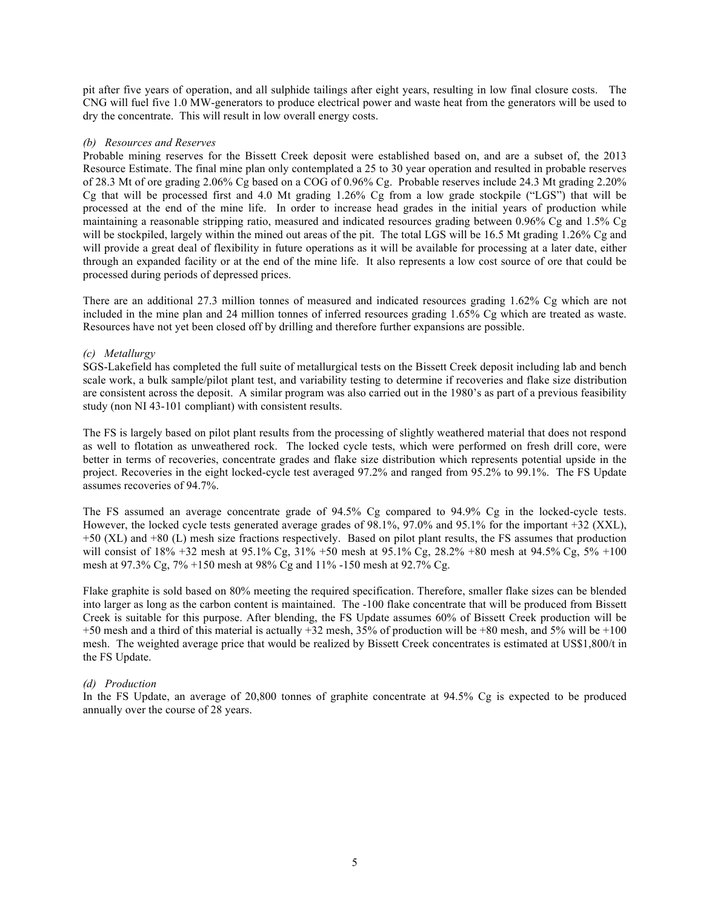pit after five years of operation, and all sulphide tailings after eight years, resulting in low final closure costs. The CNG will fuel five 1.0 MW-generators to produce electrical power and waste heat from the generators will be used to dry the concentrate. This will result in low overall energy costs.

#### *(b) Resources and Reserves*

Probable mining reserves for the Bissett Creek deposit were established based on, and are a subset of, the 2013 Resource Estimate. The final mine plan only contemplated a 25 to 30 year operation and resulted in probable reserves of 28.3 Mt of ore grading 2.06% Cg based on a COG of 0.96% Cg. Probable reserves include 24.3 Mt grading 2.20% Cg that will be processed first and 4.0 Mt grading 1.26% Cg from a low grade stockpile ("LGS") that will be processed at the end of the mine life. In order to increase head grades in the initial years of production while maintaining a reasonable stripping ratio, measured and indicated resources grading between 0.96% Cg and 1.5% Cg will be stockpiled, largely within the mined out areas of the pit. The total LGS will be 16.5 Mt grading 1.26% Cg and will provide a great deal of flexibility in future operations as it will be available for processing at a later date, either through an expanded facility or at the end of the mine life. It also represents a low cost source of ore that could be processed during periods of depressed prices.

There are an additional 27.3 million tonnes of measured and indicated resources grading 1.62% Cg which are not included in the mine plan and 24 million tonnes of inferred resources grading 1.65% Cg which are treated as waste. Resources have not yet been closed off by drilling and therefore further expansions are possible.

#### *(c) Metallurgy*

SGS-Lakefield has completed the full suite of metallurgical tests on the Bissett Creek deposit including lab and bench scale work, a bulk sample/pilot plant test, and variability testing to determine if recoveries and flake size distribution are consistent across the deposit. A similar program was also carried out in the 1980's as part of a previous feasibility study (non NI 43-101 compliant) with consistent results.

The FS is largely based on pilot plant results from the processing of slightly weathered material that does not respond as well to flotation as unweathered rock. The locked cycle tests, which were performed on fresh drill core, were better in terms of recoveries, concentrate grades and flake size distribution which represents potential upside in the project. Recoveries in the eight locked-cycle test averaged 97.2% and ranged from 95.2% to 99.1%. The FS Update assumes recoveries of 94.7%.

The FS assumed an average concentrate grade of 94.5% Cg compared to 94.9% Cg in the locked-cycle tests. However, the locked cycle tests generated average grades of 98.1%, 97.0% and 95.1% for the important +32 (XXL), +50 (XL) and +80 (L) mesh size fractions respectively. Based on pilot plant results, the FS assumes that production will consist of 18% +32 mesh at 95.1% Cg, 31% +50 mesh at 95.1% Cg, 28.2% +80 mesh at 94.5% Cg, 5% +100 mesh at 97.3% Cg, 7% +150 mesh at 98% Cg and 11% -150 mesh at 92.7% Cg.

Flake graphite is sold based on 80% meeting the required specification. Therefore, smaller flake sizes can be blended into larger as long as the carbon content is maintained. The -100 flake concentrate that will be produced from Bissett Creek is suitable for this purpose. After blending, the FS Update assumes 60% of Bissett Creek production will be +50 mesh and a third of this material is actually +32 mesh, 35% of production will be +80 mesh, and 5% will be +100 mesh. The weighted average price that would be realized by Bissett Creek concentrates is estimated at US\$1,800/t in the FS Update.

#### *(d) Production*

In the FS Update, an average of 20,800 tonnes of graphite concentrate at 94.5% Cg is expected to be produced annually over the course of 28 years.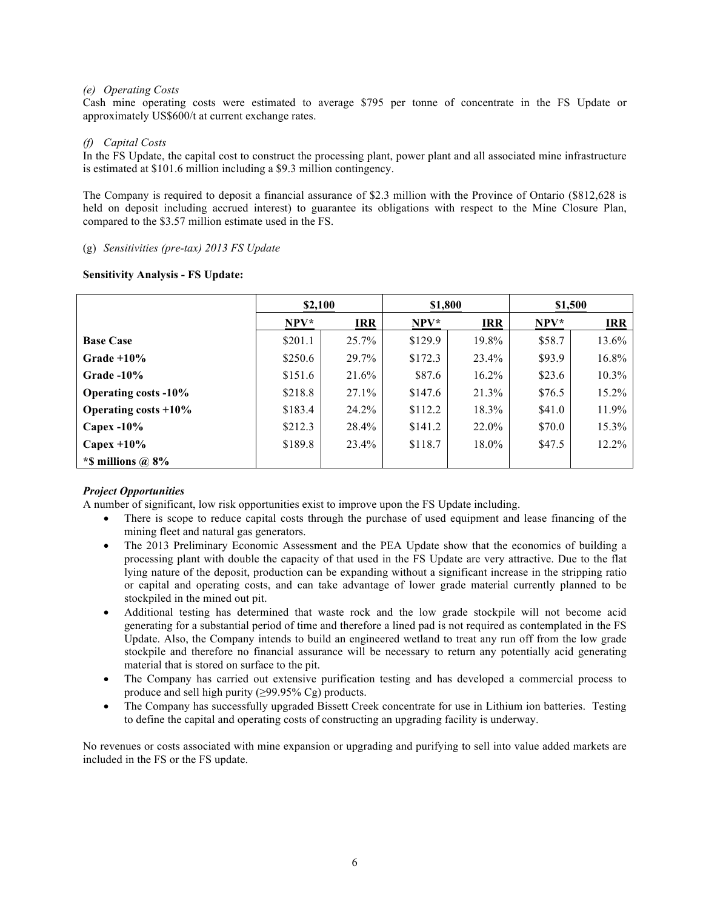### *(e) Operating Costs*

Cash mine operating costs were estimated to average \$795 per tonne of concentrate in the FS Update or approximately US\$600/t at current exchange rates.

### *(f) Capital Costs*

In the FS Update, the capital cost to construct the processing plant, power plant and all associated mine infrastructure is estimated at \$101.6 million including a \$9.3 million contingency.

The Company is required to deposit a financial assurance of \$2.3 million with the Province of Ontario (\$812,628 is held on deposit including accrued interest) to guarantee its obligations with respect to the Mine Closure Plan, compared to the \$3.57 million estimate used in the FS.

#### (g) *Sensitivities (pre-tax) 2013 FS Update*

### **Sensitivity Analysis - FS Update:**

|                             | \$2,100 |            |         | \$1,800    |         | \$1,500    |
|-----------------------------|---------|------------|---------|------------|---------|------------|
|                             | $NPV*$  | <b>IRR</b> | NPV*    | <b>IRR</b> | $NPV^*$ | <b>IRR</b> |
| <b>Base Case</b>            | \$201.1 | 25.7%      | \$129.9 | 19.8%      | \$58.7  | 13.6%      |
| Grade $+10\%$               | \$250.6 | 29.7%      | \$172.3 | 23.4%      | \$93.9  | 16.8%      |
| Grade $-10\%$               | \$151.6 | 21.6%      | \$87.6  | $16.2\%$   | \$23.6  | 10.3%      |
| <b>Operating costs -10%</b> | \$218.8 | $27.1\%$   | \$147.6 | 21.3%      | \$76.5  | 15.2%      |
| Operating costs $+10\%$     | \$183.4 | 24.2%      | \$112.2 | 18.3%      | \$41.0  | 11.9%      |
| Capex $-10\%$               | \$212.3 | 28.4%      | \$141.2 | 22.0%      | \$70.0  | 15.3%      |
| Capex $+10\%$               | \$189.8 | 23.4%      | \$118.7 | 18.0%      | \$47.5  | 12.2%      |
| *\$ millions $\omega$ 8%    |         |            |         |            |         |            |

# *Project Opportunities*

A number of significant, low risk opportunities exist to improve upon the FS Update including.

- There is scope to reduce capital costs through the purchase of used equipment and lease financing of the mining fleet and natural gas generators.
- The 2013 Preliminary Economic Assessment and the PEA Update show that the economics of building a processing plant with double the capacity of that used in the FS Update are very attractive. Due to the flat lying nature of the deposit, production can be expanding without a significant increase in the stripping ratio or capital and operating costs, and can take advantage of lower grade material currently planned to be stockpiled in the mined out pit.
- Additional testing has determined that waste rock and the low grade stockpile will not become acid generating for a substantial period of time and therefore a lined pad is not required as contemplated in the FS Update. Also, the Company intends to build an engineered wetland to treat any run off from the low grade stockpile and therefore no financial assurance will be necessary to return any potentially acid generating material that is stored on surface to the pit.
- The Company has carried out extensive purification testing and has developed a commercial process to produce and sell high purity (≥99.95% Cg) products.
- The Company has successfully upgraded Bissett Creek concentrate for use in Lithium ion batteries. Testing to define the capital and operating costs of constructing an upgrading facility is underway.

No revenues or costs associated with mine expansion or upgrading and purifying to sell into value added markets are included in the FS or the FS update.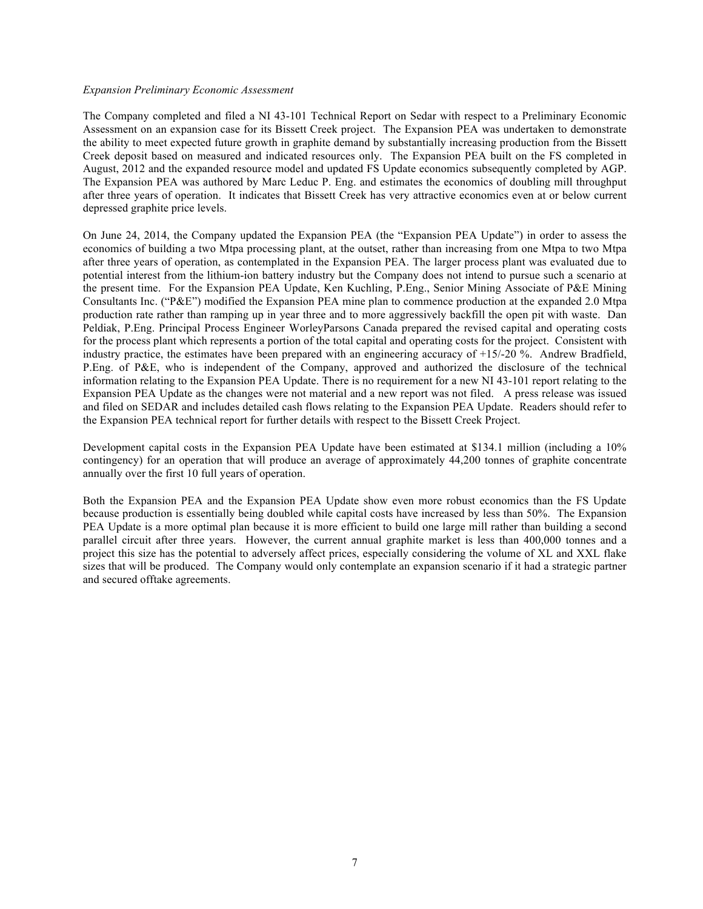#### *Expansion Preliminary Economic Assessment*

The Company completed and filed a NI 43-101 Technical Report on Sedar with respect to a Preliminary Economic Assessment on an expansion case for its Bissett Creek project. The Expansion PEA was undertaken to demonstrate the ability to meet expected future growth in graphite demand by substantially increasing production from the Bissett Creek deposit based on measured and indicated resources only. The Expansion PEA built on the FS completed in August, 2012 and the expanded resource model and updated FS Update economics subsequently completed by AGP. The Expansion PEA was authored by Marc Leduc P. Eng. and estimates the economics of doubling mill throughput after three years of operation. It indicates that Bissett Creek has very attractive economics even at or below current depressed graphite price levels.

On June 24, 2014, the Company updated the Expansion PEA (the "Expansion PEA Update") in order to assess the economics of building a two Mtpa processing plant, at the outset, rather than increasing from one Mtpa to two Mtpa after three years of operation, as contemplated in the Expansion PEA. The larger process plant was evaluated due to potential interest from the lithium-ion battery industry but the Company does not intend to pursue such a scenario at the present time. For the Expansion PEA Update, Ken Kuchling, P.Eng., Senior Mining Associate of P&E Mining Consultants Inc. ("P&E") modified the Expansion PEA mine plan to commence production at the expanded 2.0 Mtpa production rate rather than ramping up in year three and to more aggressively backfill the open pit with waste. Dan Peldiak, P.Eng. Principal Process Engineer WorleyParsons Canada prepared the revised capital and operating costs for the process plant which represents a portion of the total capital and operating costs for the project. Consistent with industry practice, the estimates have been prepared with an engineering accuracy of +15/-20 %. Andrew Bradfield, P.Eng. of P&E, who is independent of the Company, approved and authorized the disclosure of the technical information relating to the Expansion PEA Update. There is no requirement for a new NI 43-101 report relating to the Expansion PEA Update as the changes were not material and a new report was not filed. A press release was issued and filed on SEDAR and includes detailed cash flows relating to the Expansion PEA Update. Readers should refer to the Expansion PEA technical report for further details with respect to the Bissett Creek Project.

Development capital costs in the Expansion PEA Update have been estimated at \$134.1 million (including a 10% contingency) for an operation that will produce an average of approximately 44,200 tonnes of graphite concentrate annually over the first 10 full years of operation.

Both the Expansion PEA and the Expansion PEA Update show even more robust economics than the FS Update because production is essentially being doubled while capital costs have increased by less than 50%. The Expansion PEA Update is a more optimal plan because it is more efficient to build one large mill rather than building a second parallel circuit after three years. However, the current annual graphite market is less than 400,000 tonnes and a project this size has the potential to adversely affect prices, especially considering the volume of XL and XXL flake sizes that will be produced. The Company would only contemplate an expansion scenario if it had a strategic partner and secured offtake agreements.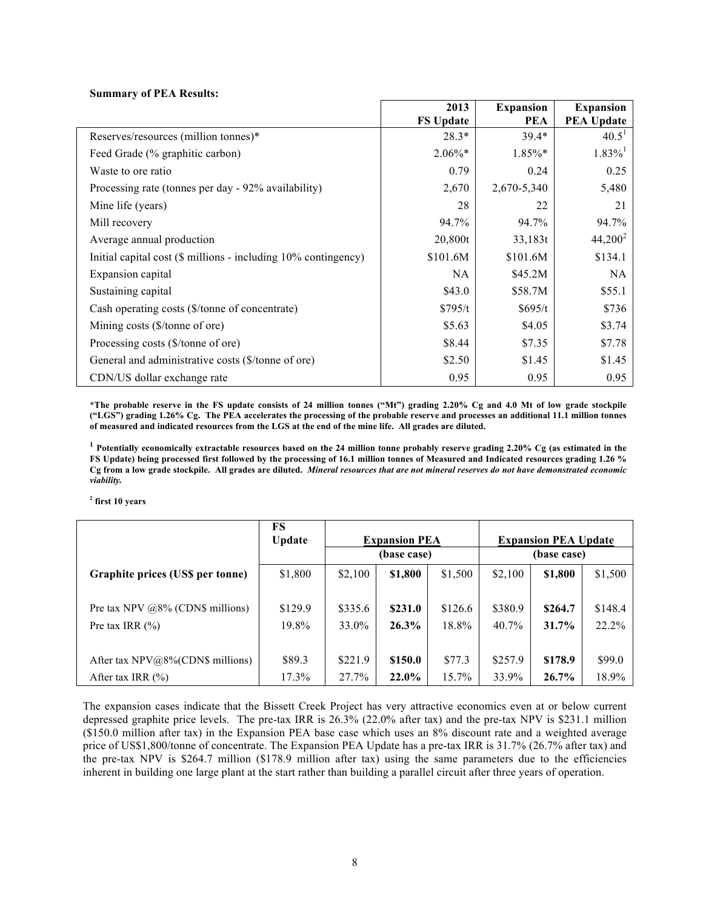#### **Summary of PEA Results:**

|                                                                | 2013             | <b>Expansion</b> | <b>Expansion</b>      |
|----------------------------------------------------------------|------------------|------------------|-----------------------|
|                                                                | <b>FS Update</b> | <b>PEA</b>       | <b>PEA Update</b>     |
| Reserves/resources (million tonnes)*                           | $28.3*$          | $39.4*$          | 40.5 <sup>1</sup>     |
| Feed Grade (% graphitic carbon)                                | $2.06\%*$        | 1.85%*           | $1.83\%$ <sup>1</sup> |
| Waste to ore ratio                                             | 0.79             | 0.24             | 0.25                  |
| Processing rate (tonnes per day - 92% availability)            | 2,670            | 2,670-5,340      | 5,480                 |
| Mine life (years)                                              | 28               | 22               | 21                    |
| Mill recovery                                                  | 94.7%            | 94.7%            | 94.7%                 |
| Average annual production                                      | 20,800t          | 33,183t          | $44,200^2$            |
| Initial capital cost (\$ millions - including 10% contingency) | \$101.6M         | \$101.6M         | \$134.1               |
| Expansion capital                                              | NA.              | \$45.2M\$        | <b>NA</b>             |
| Sustaining capital                                             | \$43.0           | \$58.7M          | \$55.1                |
| Cash operating costs (\$/tonne of concentrate)                 | \$795/t          | \$695/t          | \$736                 |
| Mining costs $(\frac{5}{\tanh \theta}$ of ore)                 | \$5.63           | \$4.05           | \$3.74                |
| Processing costs (\$/tonne of ore)                             | \$8.44           | \$7.35           | \$7.78                |
| General and administrative costs (\$/tonne of ore)             | \$2.50           | \$1.45           | \$1.45                |
| CDN/US dollar exchange rate                                    | 0.95             | 0.95             | 0.95                  |

**\*The probable reserve in the FS update consists of 24 million tonnes ("Mt") grading 2.20% Cg and 4.0 Mt of low grade stockpile ("LGS") grading 1.26% Cg. The PEA accelerates the processing of the probable reserve and processes an additional 11.1 million tonnes of measured and indicated resources from the LGS at the end of the mine life. All grades are diluted.**

**<sup>1</sup> Potentially economically extractable resources based on the 24 million tonne probably reserve grading 2.20% Cg (as estimated in the FS Update) being processed first followed by the processing of 16.1 million tonnes of Measured and Indicated resources grading 1.26 % Cg from a low grade stockpile. All grades are diluted.** *Mineral resources that are not mineral reserves do not have demonstrated economic viability.* 

**<sup>2</sup> first 10 years**

|                                      | FS<br><b>Update</b> | <b>Expansion PEA</b><br>(base case) |         |          | <b>Expansion PEA Update</b><br>(base case) |         |         |
|--------------------------------------|---------------------|-------------------------------------|---------|----------|--------------------------------------------|---------|---------|
| Graphite prices (US\$ per tonne)     | \$1,800             | \$2,100                             | \$1,800 | \$1,500  | \$2,100                                    | \$1,800 | \$1,500 |
| Pre tax NPV $@8\%$ (CDN\$ millions)  | \$129.9             | \$335.6                             | \$231.0 | \$126.6  | \$380.9                                    | \$264.7 | \$148.4 |
| Pre tax IRR $(\% )$                  | 19.8%               | 33.0%                               | 26.3%   | 18.8%    | 40.7%                                      | 31.7%   | 22.2%   |
| After tax $NPV@8\%$ (CDN\$ millions) | \$89.3              | \$221.9                             | \$150.0 | \$77.3   | \$257.9                                    | \$178.9 | \$99.0  |
| After tax IRR $(\% )$                | 17.3%               | 27.7%                               | 22.0%   | $15.7\%$ | 33.9%                                      | 26.7%   | 18.9%   |

The expansion cases indicate that the Bissett Creek Project has very attractive economics even at or below current depressed graphite price levels. The pre-tax IRR is 26.3% (22.0% after tax) and the pre-tax NPV is \$231.1 million (\$150.0 million after tax) in the Expansion PEA base case which uses an 8% discount rate and a weighted average price of US\$1,800/tonne of concentrate. The Expansion PEA Update has a pre-tax IRR is 31.7% (26.7% after tax) and the pre-tax NPV is \$264.7 million (\$178.9 million after tax) using the same parameters due to the efficiencies inherent in building one large plant at the start rather than building a parallel circuit after three years of operation.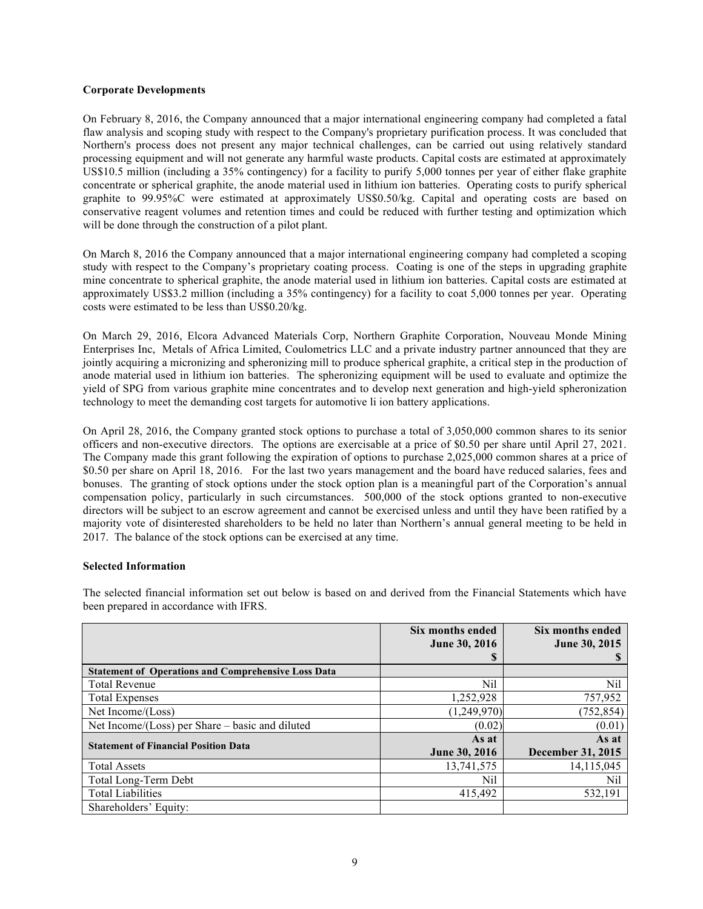#### **Corporate Developments**

On February 8, 2016, the Company announced that a major international engineering company had completed a fatal flaw analysis and scoping study with respect to the Company's proprietary purification process. It was concluded that Northern's process does not present any major technical challenges, can be carried out using relatively standard processing equipment and will not generate any harmful waste products. Capital costs are estimated at approximately US\$10.5 million (including a 35% contingency) for a facility to purify 5,000 tonnes per year of either flake graphite concentrate or spherical graphite, the anode material used in lithium ion batteries. Operating costs to purify spherical graphite to 99.95%C were estimated at approximately US\$0.50/kg. Capital and operating costs are based on conservative reagent volumes and retention times and could be reduced with further testing and optimization which will be done through the construction of a pilot plant.

On March 8, 2016 the Company announced that a major international engineering company had completed a scoping study with respect to the Company's proprietary coating process. Coating is one of the steps in upgrading graphite mine concentrate to spherical graphite, the anode material used in lithium ion batteries. Capital costs are estimated at approximately US\$3.2 million (including a 35% contingency) for a facility to coat 5,000 tonnes per year. Operating costs were estimated to be less than US\$0.20/kg.

On March 29, 2016, Elcora Advanced Materials Corp, Northern Graphite Corporation, Nouveau Monde Mining Enterprises Inc, Metals of Africa Limited, Coulometrics LLC and a private industry partner announced that they are jointly acquiring a micronizing and spheronizing mill to produce spherical graphite, a critical step in the production of anode material used in lithium ion batteries. The spheronizing equipment will be used to evaluate and optimize the yield of SPG from various graphite mine concentrates and to develop next generation and high-yield spheronization technology to meet the demanding cost targets for automotive li ion battery applications.

On April 28, 2016, the Company granted stock options to purchase a total of 3,050,000 common shares to its senior officers and non-executive directors. The options are exercisable at a price of \$0.50 per share until April 27, 2021. The Company made this grant following the expiration of options to purchase 2,025,000 common shares at a price of \$0.50 per share on April 18, 2016. For the last two years management and the board have reduced salaries, fees and bonuses. The granting of stock options under the stock option plan is a meaningful part of the Corporation's annual compensation policy, particularly in such circumstances. 500,000 of the stock options granted to non-executive directors will be subject to an escrow agreement and cannot be exercised unless and until they have been ratified by a majority vote of disinterested shareholders to be held no later than Northern's annual general meeting to be held in 2017. The balance of the stock options can be exercised at any time.

#### **Selected Information**

|                                                            | Six months ended<br><b>June 30, 2016</b> | Six months ended<br>June 30, 2015 |
|------------------------------------------------------------|------------------------------------------|-----------------------------------|
|                                                            | S                                        |                                   |
| <b>Statement of Operations and Comprehensive Loss Data</b> |                                          |                                   |
| <b>Total Revenue</b>                                       | Nil                                      | Nil                               |
| <b>Total Expenses</b>                                      | 1,252,928                                | 757,952                           |
| Net Income/(Loss)                                          | (1,249,970)                              | (752, 854)                        |
| Net Income/(Loss) per Share – basic and diluted            | (0.02)                                   | (0.01)                            |
| <b>Statement of Financial Position Data</b>                | As at                                    | As at                             |
|                                                            | <b>June 30, 2016</b>                     | <b>December 31, 2015</b>          |
| <b>Total Assets</b>                                        | 13,741,575                               | 14, 115, 045                      |
| Total Long-Term Debt                                       | Nil                                      | Nil                               |
| <b>Total Liabilities</b>                                   | 415,492                                  | 532,191                           |
| Shareholders' Equity:                                      |                                          |                                   |

The selected financial information set out below is based on and derived from the Financial Statements which have been prepared in accordance with IFRS.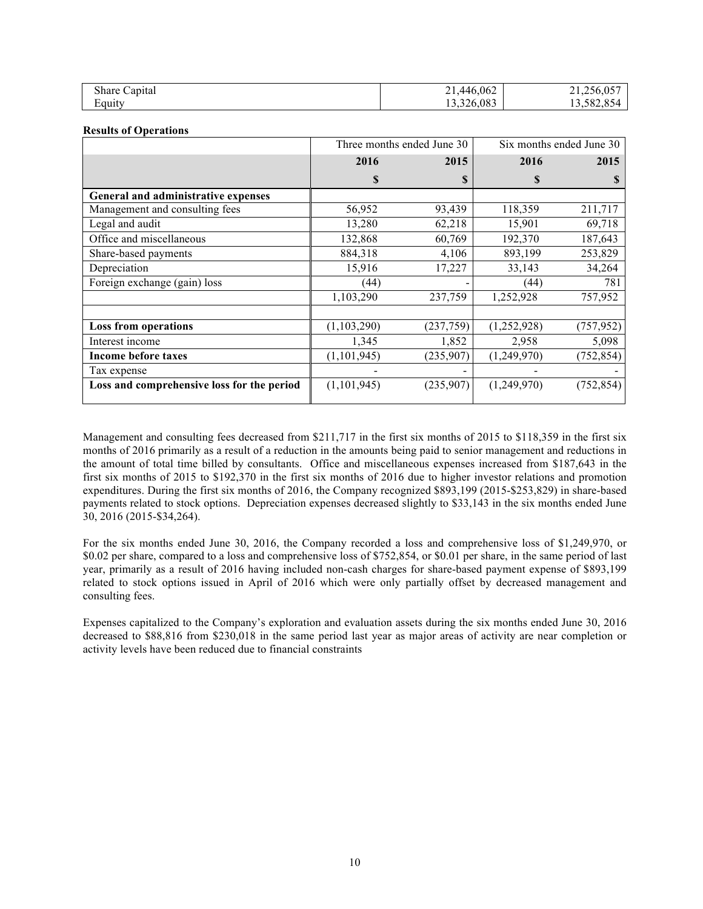| Share Capital | 21,446,062 | 21,256,057 |
|---------------|------------|------------|
| Equity        | 13,326,083 | .3,582,854 |

#### **Results of Operations**

|                                            | Three months ended June 30 |           | Six months ended June 30 |            |
|--------------------------------------------|----------------------------|-----------|--------------------------|------------|
|                                            | 2016                       | 2015      | 2016                     | 2015       |
|                                            | \$                         | S         | S                        |            |
| General and administrative expenses        |                            |           |                          |            |
| Management and consulting fees             | 56,952                     | 93,439    | 118,359                  | 211,717    |
| Legal and audit                            | 13,280                     | 62,218    | 15,901                   | 69,718     |
| Office and miscellaneous                   | 132,868                    | 60,769    | 192,370                  | 187,643    |
| Share-based payments                       | 884,318                    | 4,106     | 893,199                  | 253,829    |
| Depreciation                               | 15,916                     | 17,227    | 33,143                   | 34,264     |
| Foreign exchange (gain) loss               | (44)                       |           | (44)                     | 781        |
|                                            | 1,103,290                  | 237,759   | 1,252,928                | 757,952    |
|                                            |                            |           |                          |            |
| <b>Loss from operations</b>                | (1, 103, 290)              | (237,759) | (1,252,928)              | (757, 952) |
| Interest income                            | 1,345                      | 1,852     | 2,958                    | 5,098      |
| <b>Income before taxes</b>                 | (1, 101, 945)              | (235,907) | (1,249,970)              | (752,854)  |
| Tax expense                                |                            |           |                          |            |
| Loss and comprehensive loss for the period | (1, 101, 945)              | (235,907) | (1,249,970)              | (752, 854) |

Management and consulting fees decreased from \$211,717 in the first six months of 2015 to \$118,359 in the first six months of 2016 primarily as a result of a reduction in the amounts being paid to senior management and reductions in the amount of total time billed by consultants. Office and miscellaneous expenses increased from \$187,643 in the first six months of 2015 to \$192,370 in the first six months of 2016 due to higher investor relations and promotion expenditures. During the first six months of 2016, the Company recognized \$893,199 (2015-\$253,829) in share-based payments related to stock options. Depreciation expenses decreased slightly to \$33,143 in the six months ended June 30, 2016 (2015-\$34,264).

For the six months ended June 30, 2016, the Company recorded a loss and comprehensive loss of \$1,249,970, or \$0.02 per share, compared to a loss and comprehensive loss of \$752,854, or \$0.01 per share, in the same period of last year, primarily as a result of 2016 having included non-cash charges for share-based payment expense of \$893,199 related to stock options issued in April of 2016 which were only partially offset by decreased management and consulting fees.

Expenses capitalized to the Company's exploration and evaluation assets during the six months ended June 30, 2016 decreased to \$88,816 from \$230,018 in the same period last year as major areas of activity are near completion or activity levels have been reduced due to financial constraints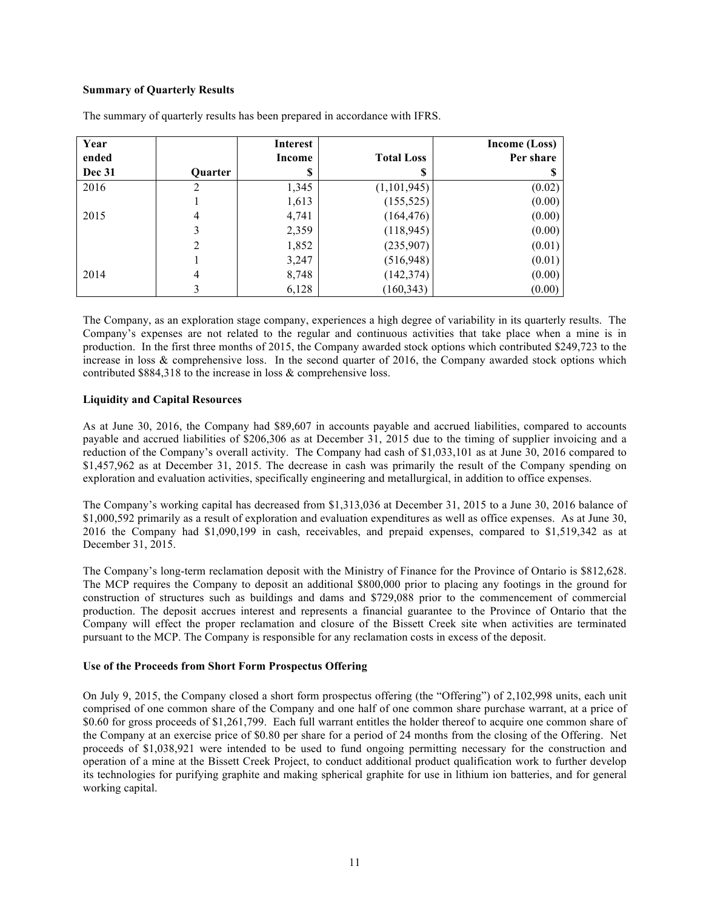# **Summary of Quarterly Results**

| Year          |                | <b>Interest</b> |                   | <b>Income (Loss)</b> |
|---------------|----------------|-----------------|-------------------|----------------------|
| ended         |                | Income          | <b>Total Loss</b> | Per share            |
| <b>Dec 31</b> | Quarter        | S               | S                 | S                    |
| 2016          | 2              | 1,345           | (1,101,945)       | (0.02)               |
|               |                | 1,613           | (155, 525)        | (0.00)               |
| 2015          | 4              | 4,741           | (164, 476)        | (0.00)               |
|               | 3              | 2,359           | (118, 945)        | (0.00)               |
|               | $\overline{2}$ | 1,852           | (235,907)         | (0.01)               |
|               |                | 3,247           | (516, 948)        | (0.01)               |
| 2014          | 4              | 8,748           | (142, 374)        | (0.00)               |
|               | 3              | 6,128           | (160, 343)        | (0.00)               |

The summary of quarterly results has been prepared in accordance with IFRS.

The Company, as an exploration stage company, experiences a high degree of variability in its quarterly results. The Company's expenses are not related to the regular and continuous activities that take place when a mine is in production. In the first three months of 2015, the Company awarded stock options which contributed \$249,723 to the increase in loss & comprehensive loss. In the second quarter of 2016, the Company awarded stock options which contributed \$884,318 to the increase in loss & comprehensive loss.

#### **Liquidity and Capital Resources**

As at June 30, 2016, the Company had \$89,607 in accounts payable and accrued liabilities, compared to accounts payable and accrued liabilities of \$206,306 as at December 31, 2015 due to the timing of supplier invoicing and a reduction of the Company's overall activity. The Company had cash of \$1,033,101 as at June 30, 2016 compared to \$1,457,962 as at December 31, 2015. The decrease in cash was primarily the result of the Company spending on exploration and evaluation activities, specifically engineering and metallurgical, in addition to office expenses.

The Company's working capital has decreased from \$1,313,036 at December 31, 2015 to a June 30, 2016 balance of \$1,000,592 primarily as a result of exploration and evaluation expenditures as well as office expenses. As at June 30, 2016 the Company had \$1,090,199 in cash, receivables, and prepaid expenses, compared to \$1,519,342 as at December 31, 2015.

The Company's long-term reclamation deposit with the Ministry of Finance for the Province of Ontario is \$812,628. The MCP requires the Company to deposit an additional \$800,000 prior to placing any footings in the ground for construction of structures such as buildings and dams and \$729,088 prior to the commencement of commercial production. The deposit accrues interest and represents a financial guarantee to the Province of Ontario that the Company will effect the proper reclamation and closure of the Bissett Creek site when activities are terminated pursuant to the MCP. The Company is responsible for any reclamation costs in excess of the deposit.

#### **Use of the Proceeds from Short Form Prospectus Offering**

On July 9, 2015, the Company closed a short form prospectus offering (the "Offering") of 2,102,998 units, each unit comprised of one common share of the Company and one half of one common share purchase warrant, at a price of \$0.60 for gross proceeds of \$1,261,799. Each full warrant entitles the holder thereof to acquire one common share of the Company at an exercise price of \$0.80 per share for a period of 24 months from the closing of the Offering. Net proceeds of \$1,038,921 were intended to be used to fund ongoing permitting necessary for the construction and operation of a mine at the Bissett Creek Project, to conduct additional product qualification work to further develop its technologies for purifying graphite and making spherical graphite for use in lithium ion batteries, and for general working capital.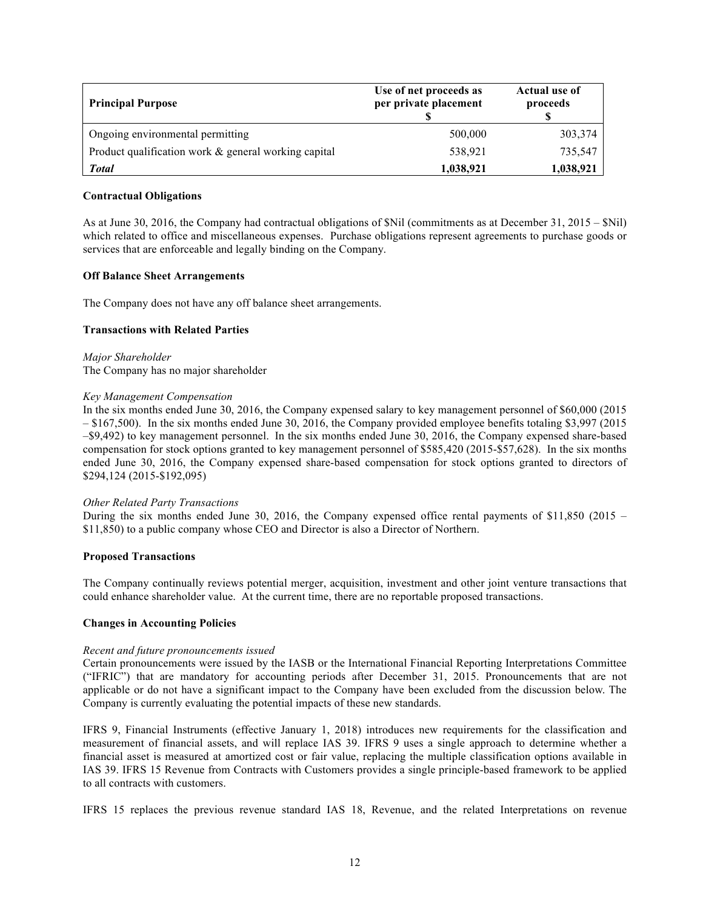| <b>Principal Purpose</b>                             | Use of net proceeds as<br>per private placement | <b>Actual use of</b><br>proceeds |
|------------------------------------------------------|-------------------------------------------------|----------------------------------|
| Ongoing environmental permitting                     | 500,000                                         | 303,374                          |
| Product qualification work & general working capital | 538,921                                         | 735,547                          |
| <b>Total</b>                                         | 1,038,921                                       | 1,038,921                        |

### **Contractual Obligations**

As at June 30, 2016, the Company had contractual obligations of \$Nil (commitments as at December 31, 2015 – \$Nil) which related to office and miscellaneous expenses. Purchase obligations represent agreements to purchase goods or services that are enforceable and legally binding on the Company.

#### **Off Balance Sheet Arrangements**

The Company does not have any off balance sheet arrangements.

### **Transactions with Related Parties**

*Major Shareholder* The Company has no major shareholder

#### *Key Management Compensation*

In the six months ended June 30, 2016, the Company expensed salary to key management personnel of \$60,000 (2015 – \$167,500). In the six months ended June 30, 2016, the Company provided employee benefits totaling \$3,997 (2015 –\$9,492) to key management personnel. In the six months ended June 30, 2016, the Company expensed share-based compensation for stock options granted to key management personnel of \$585,420 (2015-\$57,628). In the six months ended June 30, 2016, the Company expensed share-based compensation for stock options granted to directors of \$294,124 (2015-\$192,095)

#### *Other Related Party Transactions*

During the six months ended June 30, 2016, the Company expensed office rental payments of \$11,850 (2015 – \$11,850) to a public company whose CEO and Director is also a Director of Northern.

#### **Proposed Transactions**

The Company continually reviews potential merger, acquisition, investment and other joint venture transactions that could enhance shareholder value. At the current time, there are no reportable proposed transactions.

#### **Changes in Accounting Policies**

#### *Recent and future pronouncements issued*

Certain pronouncements were issued by the IASB or the International Financial Reporting Interpretations Committee ("IFRIC") that are mandatory for accounting periods after December 31, 2015. Pronouncements that are not applicable or do not have a significant impact to the Company have been excluded from the discussion below. The Company is currently evaluating the potential impacts of these new standards.

IFRS 9, Financial Instruments (effective January 1, 2018) introduces new requirements for the classification and measurement of financial assets, and will replace IAS 39. IFRS 9 uses a single approach to determine whether a financial asset is measured at amortized cost or fair value, replacing the multiple classification options available in IAS 39. IFRS 15 Revenue from Contracts with Customers provides a single principle-based framework to be applied to all contracts with customers.

IFRS 15 replaces the previous revenue standard IAS 18, Revenue, and the related Interpretations on revenue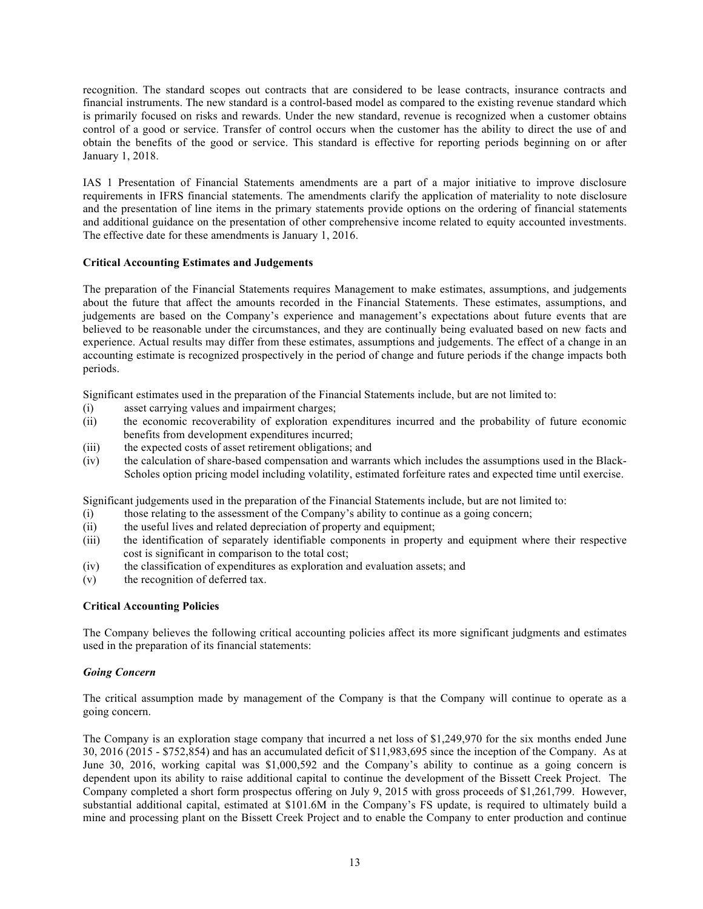recognition. The standard scopes out contracts that are considered to be lease contracts, insurance contracts and financial instruments. The new standard is a control-based model as compared to the existing revenue standard which is primarily focused on risks and rewards. Under the new standard, revenue is recognized when a customer obtains control of a good or service. Transfer of control occurs when the customer has the ability to direct the use of and obtain the benefits of the good or service. This standard is effective for reporting periods beginning on or after January 1, 2018.

IAS 1 Presentation of Financial Statements amendments are a part of a major initiative to improve disclosure requirements in IFRS financial statements. The amendments clarify the application of materiality to note disclosure and the presentation of line items in the primary statements provide options on the ordering of financial statements and additional guidance on the presentation of other comprehensive income related to equity accounted investments. The effective date for these amendments is January 1, 2016.

# **Critical Accounting Estimates and Judgements**

The preparation of the Financial Statements requires Management to make estimates, assumptions, and judgements about the future that affect the amounts recorded in the Financial Statements. These estimates, assumptions, and judgements are based on the Company's experience and management's expectations about future events that are believed to be reasonable under the circumstances, and they are continually being evaluated based on new facts and experience. Actual results may differ from these estimates, assumptions and judgements. The effect of a change in an accounting estimate is recognized prospectively in the period of change and future periods if the change impacts both periods.

Significant estimates used in the preparation of the Financial Statements include, but are not limited to:

- (i) asset carrying values and impairment charges;
- (ii) the economic recoverability of exploration expenditures incurred and the probability of future economic benefits from development expenditures incurred;
- (iii) the expected costs of asset retirement obligations; and
- (iv) the calculation of share-based compensation and warrants which includes the assumptions used in the Black-Scholes option pricing model including volatility, estimated forfeiture rates and expected time until exercise.

Significant judgements used in the preparation of the Financial Statements include, but are not limited to:

- (i) those relating to the assessment of the Company's ability to continue as a going concern;
- (ii) the useful lives and related depreciation of property and equipment;
- (iii) the identification of separately identifiable components in property and equipment where their respective cost is significant in comparison to the total cost;
- (iv) the classification of expenditures as exploration and evaluation assets; and
- (v) the recognition of deferred tax.

#### **Critical Accounting Policies**

The Company believes the following critical accounting policies affect its more significant judgments and estimates used in the preparation of its financial statements:

# *Going Concern*

The critical assumption made by management of the Company is that the Company will continue to operate as a going concern.

The Company is an exploration stage company that incurred a net loss of \$1,249,970 for the six months ended June 30, 2016 (2015 - \$752,854) and has an accumulated deficit of \$11,983,695 since the inception of the Company. As at June 30, 2016, working capital was \$1,000,592 and the Company's ability to continue as a going concern is dependent upon its ability to raise additional capital to continue the development of the Bissett Creek Project. The Company completed a short form prospectus offering on July 9, 2015 with gross proceeds of \$1,261,799. However, substantial additional capital, estimated at \$101.6M in the Company's FS update, is required to ultimately build a mine and processing plant on the Bissett Creek Project and to enable the Company to enter production and continue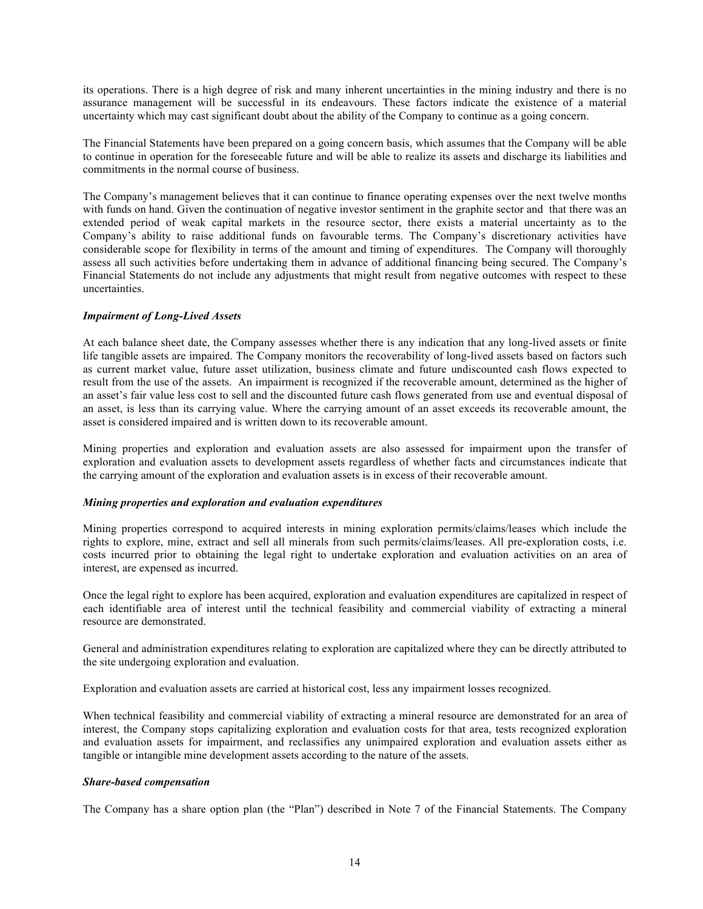its operations. There is a high degree of risk and many inherent uncertainties in the mining industry and there is no assurance management will be successful in its endeavours. These factors indicate the existence of a material uncertainty which may cast significant doubt about the ability of the Company to continue as a going concern.

The Financial Statements have been prepared on a going concern basis, which assumes that the Company will be able to continue in operation for the foreseeable future and will be able to realize its assets and discharge its liabilities and commitments in the normal course of business.

The Company's management believes that it can continue to finance operating expenses over the next twelve months with funds on hand. Given the continuation of negative investor sentiment in the graphite sector and that there was an extended period of weak capital markets in the resource sector, there exists a material uncertainty as to the Company's ability to raise additional funds on favourable terms. The Company's discretionary activities have considerable scope for flexibility in terms of the amount and timing of expenditures. The Company will thoroughly assess all such activities before undertaking them in advance of additional financing being secured. The Company's Financial Statements do not include any adjustments that might result from negative outcomes with respect to these uncertainties.

## *Impairment of Long-Lived Assets*

At each balance sheet date, the Company assesses whether there is any indication that any long-lived assets or finite life tangible assets are impaired. The Company monitors the recoverability of long-lived assets based on factors such as current market value, future asset utilization, business climate and future undiscounted cash flows expected to result from the use of the assets. An impairment is recognized if the recoverable amount, determined as the higher of an asset's fair value less cost to sell and the discounted future cash flows generated from use and eventual disposal of an asset, is less than its carrying value. Where the carrying amount of an asset exceeds its recoverable amount, the asset is considered impaired and is written down to its recoverable amount.

Mining properties and exploration and evaluation assets are also assessed for impairment upon the transfer of exploration and evaluation assets to development assets regardless of whether facts and circumstances indicate that the carrying amount of the exploration and evaluation assets is in excess of their recoverable amount.

#### *Mining properties and exploration and evaluation expenditures*

Mining properties correspond to acquired interests in mining exploration permits/claims/leases which include the rights to explore, mine, extract and sell all minerals from such permits/claims/leases. All pre-exploration costs, i.e. costs incurred prior to obtaining the legal right to undertake exploration and evaluation activities on an area of interest, are expensed as incurred.

Once the legal right to explore has been acquired, exploration and evaluation expenditures are capitalized in respect of each identifiable area of interest until the technical feasibility and commercial viability of extracting a mineral resource are demonstrated.

General and administration expenditures relating to exploration are capitalized where they can be directly attributed to the site undergoing exploration and evaluation.

Exploration and evaluation assets are carried at historical cost, less any impairment losses recognized.

When technical feasibility and commercial viability of extracting a mineral resource are demonstrated for an area of interest, the Company stops capitalizing exploration and evaluation costs for that area, tests recognized exploration and evaluation assets for impairment, and reclassifies any unimpaired exploration and evaluation assets either as tangible or intangible mine development assets according to the nature of the assets.

### *Share-based compensation*

The Company has a share option plan (the "Plan") described in Note 7 of the Financial Statements. The Company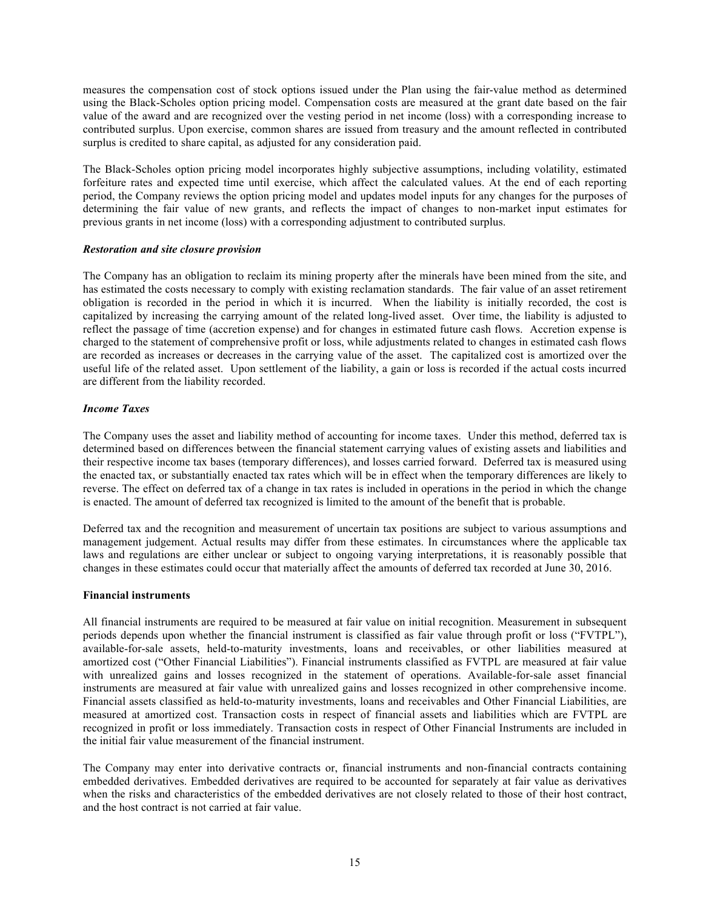measures the compensation cost of stock options issued under the Plan using the fair-value method as determined using the Black-Scholes option pricing model. Compensation costs are measured at the grant date based on the fair value of the award and are recognized over the vesting period in net income (loss) with a corresponding increase to contributed surplus. Upon exercise, common shares are issued from treasury and the amount reflected in contributed surplus is credited to share capital, as adjusted for any consideration paid.

The Black-Scholes option pricing model incorporates highly subjective assumptions, including volatility, estimated forfeiture rates and expected time until exercise, which affect the calculated values. At the end of each reporting period, the Company reviews the option pricing model and updates model inputs for any changes for the purposes of determining the fair value of new grants, and reflects the impact of changes to non-market input estimates for previous grants in net income (loss) with a corresponding adjustment to contributed surplus.

#### *Restoration and site closure provision*

The Company has an obligation to reclaim its mining property after the minerals have been mined from the site, and has estimated the costs necessary to comply with existing reclamation standards. The fair value of an asset retirement obligation is recorded in the period in which it is incurred. When the liability is initially recorded, the cost is capitalized by increasing the carrying amount of the related long-lived asset. Over time, the liability is adjusted to reflect the passage of time (accretion expense) and for changes in estimated future cash flows. Accretion expense is charged to the statement of comprehensive profit or loss, while adjustments related to changes in estimated cash flows are recorded as increases or decreases in the carrying value of the asset. The capitalized cost is amortized over the useful life of the related asset. Upon settlement of the liability, a gain or loss is recorded if the actual costs incurred are different from the liability recorded.

### *Income Taxes*

The Company uses the asset and liability method of accounting for income taxes. Under this method, deferred tax is determined based on differences between the financial statement carrying values of existing assets and liabilities and their respective income tax bases (temporary differences), and losses carried forward. Deferred tax is measured using the enacted tax, or substantially enacted tax rates which will be in effect when the temporary differences are likely to reverse. The effect on deferred tax of a change in tax rates is included in operations in the period in which the change is enacted. The amount of deferred tax recognized is limited to the amount of the benefit that is probable.

Deferred tax and the recognition and measurement of uncertain tax positions are subject to various assumptions and management judgement. Actual results may differ from these estimates. In circumstances where the applicable tax laws and regulations are either unclear or subject to ongoing varying interpretations, it is reasonably possible that changes in these estimates could occur that materially affect the amounts of deferred tax recorded at June 30, 2016.

### **Financial instruments**

All financial instruments are required to be measured at fair value on initial recognition. Measurement in subsequent periods depends upon whether the financial instrument is classified as fair value through profit or loss ("FVTPL"), available-for-sale assets, held-to-maturity investments, loans and receivables, or other liabilities measured at amortized cost ("Other Financial Liabilities"). Financial instruments classified as FVTPL are measured at fair value with unrealized gains and losses recognized in the statement of operations. Available-for-sale asset financial instruments are measured at fair value with unrealized gains and losses recognized in other comprehensive income. Financial assets classified as held-to-maturity investments, loans and receivables and Other Financial Liabilities, are measured at amortized cost. Transaction costs in respect of financial assets and liabilities which are FVTPL are recognized in profit or loss immediately. Transaction costs in respect of Other Financial Instruments are included in the initial fair value measurement of the financial instrument.

The Company may enter into derivative contracts or, financial instruments and non-financial contracts containing embedded derivatives. Embedded derivatives are required to be accounted for separately at fair value as derivatives when the risks and characteristics of the embedded derivatives are not closely related to those of their host contract, and the host contract is not carried at fair value.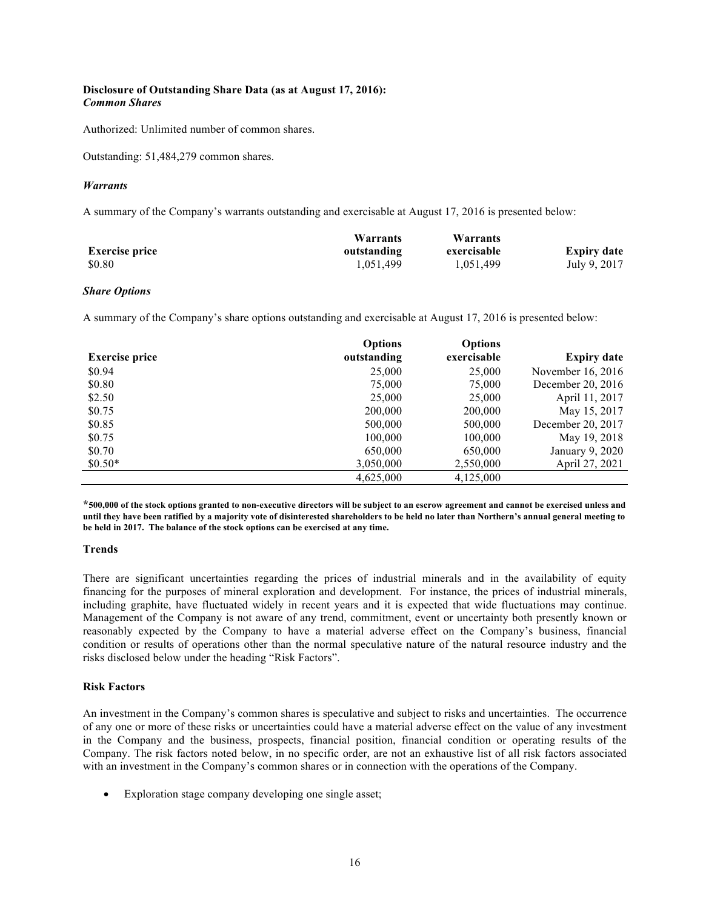# **Disclosure of Outstanding Share Data (as at August 17, 2016):** *Common Shares*

Authorized: Unlimited number of common shares.

Outstanding: 51,484,279 common shares.

## *Warrants*

A summary of the Company's warrants outstanding and exercisable at August 17, 2016 is presented below:

|                       | Warrants    | Warrants    |                    |
|-----------------------|-------------|-------------|--------------------|
| <b>Exercise price</b> | outstanding | exercisable | <b>Expiry date</b> |
| \$0.80                | 1.051.499   | 1,051,499   | July 9, 2017       |

### *Share Options*

A summary of the Company's share options outstanding and exercisable at August 17, 2016 is presented below:

|                       | <b>Options</b> | <b>Options</b> |                    |
|-----------------------|----------------|----------------|--------------------|
| <b>Exercise price</b> | outstanding    | exercisable    | <b>Expiry date</b> |
| \$0.94                | 25,000         | 25,000         | November 16, 2016  |
| \$0.80                | 75,000         | 75,000         | December 20, 2016  |
| \$2.50                | 25,000         | 25,000         | April 11, 2017     |
| \$0.75                | 200,000        | 200,000        | May 15, 2017       |
| \$0.85                | 500,000        | 500,000        | December 20, 2017  |
| \$0.75                | 100,000        | 100,000        | May 19, 2018       |
| \$0.70                | 650,000        | 650,000        | January 9, 2020    |
| $$0.50*$              | 3,050,000      | 2,550,000      | April 27, 2021     |
|                       | 4,625,000      | 4,125,000      |                    |

**\*500,000 of the stock options granted to non-executive directors will be subject to an escrow agreement and cannot be exercised unless and until they have been ratified by a majority vote of disinterested shareholders to be held no later than Northern's annual general meeting to be held in 2017. The balance of the stock options can be exercised at any time.**

# **Trends**

There are significant uncertainties regarding the prices of industrial minerals and in the availability of equity financing for the purposes of mineral exploration and development. For instance, the prices of industrial minerals, including graphite, have fluctuated widely in recent years and it is expected that wide fluctuations may continue. Management of the Company is not aware of any trend, commitment, event or uncertainty both presently known or reasonably expected by the Company to have a material adverse effect on the Company's business, financial condition or results of operations other than the normal speculative nature of the natural resource industry and the risks disclosed below under the heading "Risk Factors".

#### **Risk Factors**

An investment in the Company's common shares is speculative and subject to risks and uncertainties. The occurrence of any one or more of these risks or uncertainties could have a material adverse effect on the value of any investment in the Company and the business, prospects, financial position, financial condition or operating results of the Company. The risk factors noted below, in no specific order, are not an exhaustive list of all risk factors associated with an investment in the Company's common shares or in connection with the operations of the Company.

• Exploration stage company developing one single asset;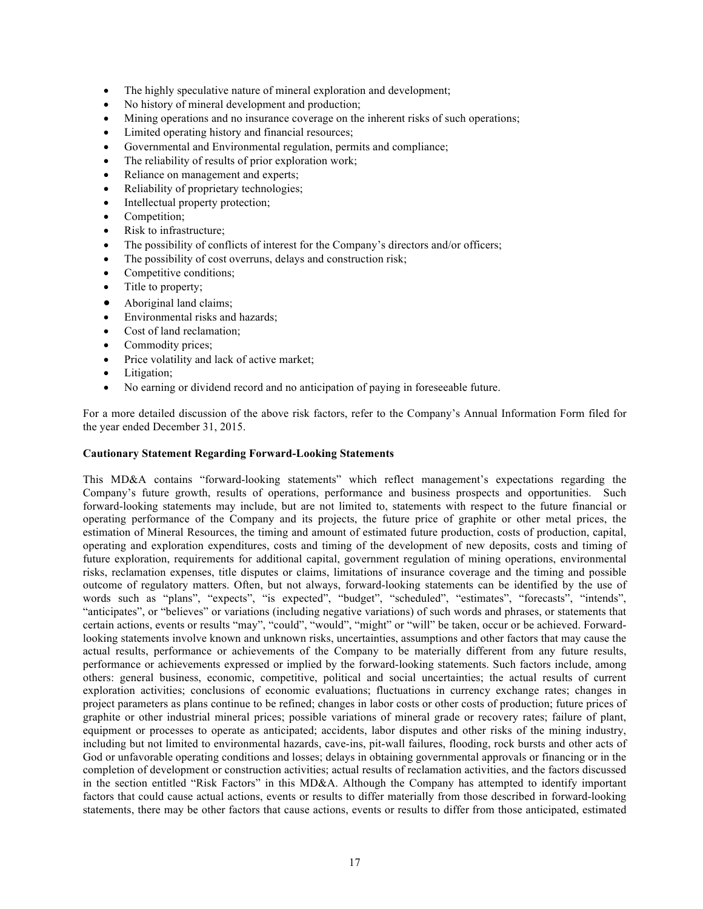- The highly speculative nature of mineral exploration and development;
- No history of mineral development and production;
- Mining operations and no insurance coverage on the inherent risks of such operations;
- Limited operating history and financial resources;
- Governmental and Environmental regulation, permits and compliance;
- The reliability of results of prior exploration work;
- Reliance on management and experts;
- Reliability of proprietary technologies;
- Intellectual property protection;
- Competition:
- Risk to infrastructure:
- The possibility of conflicts of interest for the Company's directors and/or officers;
- The possibility of cost overruns, delays and construction risk;
- Competitive conditions;
- Title to property;
- Aboriginal land claims;
- Environmental risks and hazards;
- Cost of land reclamation:
- Commodity prices;
- Price volatility and lack of active market;
- Litigation;
- No earning or dividend record and no anticipation of paying in foreseeable future.

For a more detailed discussion of the above risk factors, refer to the Company's Annual Information Form filed for the year ended December 31, 2015.

#### **Cautionary Statement Regarding Forward-Looking Statements**

This MD&A contains "forward-looking statements" which reflect management's expectations regarding the Company's future growth, results of operations, performance and business prospects and opportunities. Such forward-looking statements may include, but are not limited to, statements with respect to the future financial or operating performance of the Company and its projects, the future price of graphite or other metal prices, the estimation of Mineral Resources, the timing and amount of estimated future production, costs of production, capital, operating and exploration expenditures, costs and timing of the development of new deposits, costs and timing of future exploration, requirements for additional capital, government regulation of mining operations, environmental risks, reclamation expenses, title disputes or claims, limitations of insurance coverage and the timing and possible outcome of regulatory matters. Often, but not always, forward-looking statements can be identified by the use of words such as "plans", "expects", "is expected", "budget", "scheduled", "estimates", "forecasts", "intends", "anticipates", or "believes" or variations (including negative variations) of such words and phrases, or statements that certain actions, events or results "may", "could", "would", "might" or "will" be taken, occur or be achieved. Forwardlooking statements involve known and unknown risks, uncertainties, assumptions and other factors that may cause the actual results, performance or achievements of the Company to be materially different from any future results, performance or achievements expressed or implied by the forward-looking statements. Such factors include, among others: general business, economic, competitive, political and social uncertainties; the actual results of current exploration activities; conclusions of economic evaluations; fluctuations in currency exchange rates; changes in project parameters as plans continue to be refined; changes in labor costs or other costs of production; future prices of graphite or other industrial mineral prices; possible variations of mineral grade or recovery rates; failure of plant, equipment or processes to operate as anticipated; accidents, labor disputes and other risks of the mining industry, including but not limited to environmental hazards, cave-ins, pit-wall failures, flooding, rock bursts and other acts of God or unfavorable operating conditions and losses; delays in obtaining governmental approvals or financing or in the completion of development or construction activities; actual results of reclamation activities, and the factors discussed in the section entitled "Risk Factors" in this MD&A. Although the Company has attempted to identify important factors that could cause actual actions, events or results to differ materially from those described in forward-looking statements, there may be other factors that cause actions, events or results to differ from those anticipated, estimated